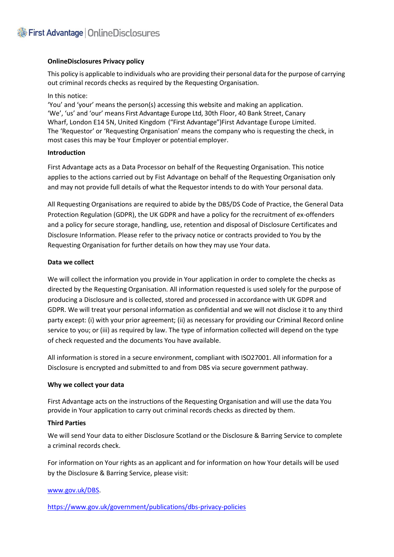## **OnlineDisclosures Privacy policy**

This policy is applicable to individuals who are providing their personal data forthe purpose of carrying out criminal records checks as required by the Requesting Organisation.

In this notice:

'You' and 'your' means the person(s) accessing this website and making an application. 'We', 'us' and 'our' means First Advantage Europe Ltd, 30th Floor, 40 Bank Street, Canary Wharf, London E14 5N, United Kingdom ("First Advantage")First Advantage Europe Limited. The 'Requestor' or 'Requesting Organisation' means the company who is requesting the check, in most cases this may be Your Employer or potential employer.

## **Introduction**

First Advantage acts as a Data Processor on behalf of the Requesting Organisation. This notice applies to the actions carried out by Fist Advantage on behalf of the Requesting Organisation only and may not provide full details of what the Requestor intends to do with Your personal data.

All Requesting Organisations are required to abide by the DBS/DS Code of Practice, the General Data Protection Regulation (GDPR), the UK GDPR and have a policy for the recruitment of ex-offenders and a policy for secure storage, handling, use, retention and disposal of Disclosure Certificates and Disclosure Information. Please refer to the privacy notice or contracts provided to You by the Requesting Organisation for further details on how they may use Your data.

## **Data we collect**

We will collect the information you provide in Your application in order to complete the checks as directed by the Requesting Organisation. All information requested is used solely for the purpose of producing a Disclosure and is collected, stored and processed in accordance with UK GDPR and GDPR. We will treat your personal information as confidential and we will not disclose it to any third party except: (i) with your prior agreement; (ii) as necessary for providing our Criminal Record online service to you; or (iii) as required by law. The type of information collected will depend on the type of check requested and the documents You have available.

All information is stored in a secure environment, compliant with ISO27001. All information for a Disclosure is encrypted and submitted to and from DBS via secure government pathway.

## **Why we collect your data**

First Advantage acts on the instructions of the Requesting Organisation and will use the data You provide in Your application to carry out criminal records checks as directed by them.

## **Third Parties**

We will send Your data to either Disclosure Scotland or the Disclosure & Barring Service to complete a criminal records check.

For information on Your rights as an applicant and for information on how Your details will be used by the Disclosure & Barring Service, please visit:

## [www.gov.uk/DBS.](http://www.gov.uk/DBS)

<https://www.gov.uk/government/publications/dbs-privacy-policies>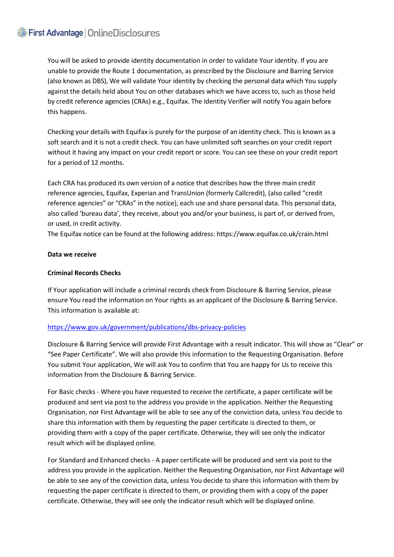# First Advantage | OnlineDisclosures

You will be asked to provide identity documentation in order to validate Your identity. If you are unable to provide the Route 1 documentation, as prescribed by the Disclosure and Barring Service (also known as DBS), We will validate Your identity by checking the personal data which You supply against the details held about You on other databases which we have access to, such as those held by credit reference agencies (CRAs) e.g., Equifax. The Identity Verifier will notify You again before this happens.

Checking your details with Equifax is purely for the purpose of an identity check. This is known as a soft search and it is not a credit check. You can have unlimited soft searches on your credit report without it having any impact on your credit report or score. You can see these on your credit report for a period of 12 months.

Each CRA has produced its own version of a notice that describes how the three main credit reference agencies, Equifax, Experian and TransUnion (formerly Callcredit), (also called "credit reference agencies" or "CRAs" in the notice), each use and share personal data. This personal data, also called 'bureau data', they receive, about you and/or your business, is part of, or derived from, or used, in credit activity.

The Equifax notice can be found at the following address[: https://www.equifax.co.uk/crain.html](https://www.equifax.co.uk/crain.html)

## **Data we receive**

# **Criminal Records Checks**

If Your application will include a criminal records check from Disclosure & Barring Service, please ensure You read the information on Your rights as an applicant of the Disclosure & Barring Service. This information is available at:

# <https://www.gov.uk/government/publications/dbs-privacy-policies>

Disclosure & Barring Service will provide First Advantage with a result indicator. This will show as "Clear" or "See Paper Certificate". We will also provide this information to the Requesting Organisation. Before You submit Your application, We will ask You to confirm that You are happy for Us to receive this information from the Disclosure & Barring Service.

For Basic checks - Where you have requested to receive the certificate, a paper certificate will be produced and sent via post to the address you provide in the application. Neither the Requesting Organisation, nor First Advantage will be able to see any of the conviction data, unless You decide to share this information with them by requesting the paper certificate is directed to them, or providing them with a copy of the paper certificate. Otherwise, they will see only the indicator result which will be displayed online.

For Standard and Enhanced checks - A paper certificate will be produced and sent via post to the address you provide in the application. Neither the Requesting Organisation, nor First Advantage will be able to see any of the conviction data, unless You decide to share this information with them by requesting the paper certificate is directed to them, or providing them with a copy of the paper certificate. Otherwise, they will see only the indicator result which will be displayed online.